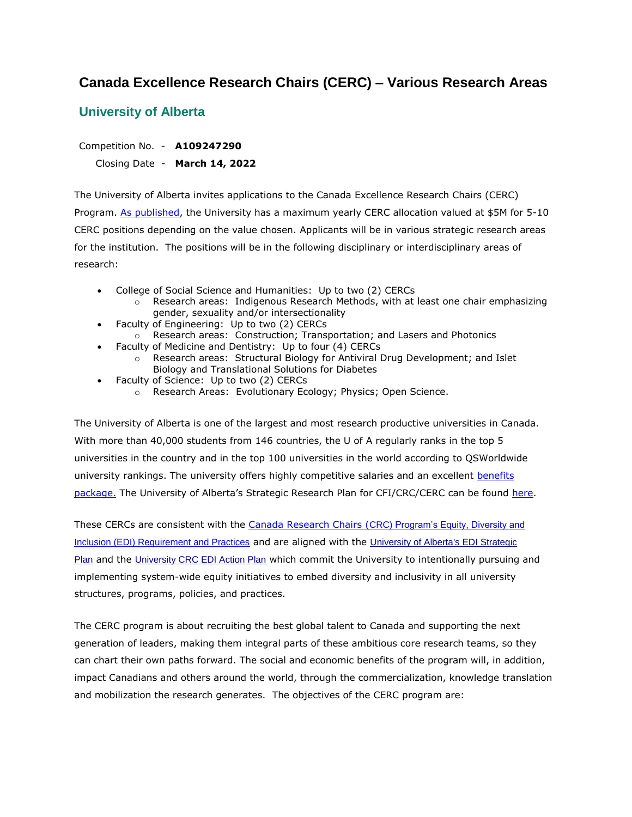# **Canada Excellence Research Chairs (CERC) – Various Research Areas**

## **University of Alberta**

Competition No. - **A109247290**

Closing Date - **March 14, 2022**

The University of Alberta invites applications to the Canada Excellence Research Chairs (CERC) Program. [As published,](https://www.cerc.gc.ca/program-programme/eligibility-admissibilite-eng.aspx) the University has a maximum yearly CERC allocation valued at \$5M for 5-10 CERC positions depending on the value chosen. Applicants will be in various strategic research areas for the institution. The positions will be in the following disciplinary or interdisciplinary areas of research:

- College of Social Science and Humanities: Up to two (2) CERCs
	- $\circ$  Research areas: Indigenous Research Methods, with at least one chair emphasizing gender, sexuality and/or intersectionality
- Faculty of Engineering: Up to two (2) CERCs
- o Research areas: Construction; Transportation; and Lasers and Photonics
- Faculty of Medicine and Dentistry: Up to four (4) CERCs
	- o Research areas: Structural Biology for Antiviral Drug Development; and Islet Biology and Translational Solutions for Diabetes
- Faculty of Science: Up to two (2) CERCs
	- o Research Areas: Evolutionary Ecology; Physics; Open Science.

The University of Alberta is one of the largest and most research productive universities in Canada. With more than 40,000 students from 146 countries, the U of A regularly ranks in the top 5 universities in the country and in the top 100 universities in the world according to QSWorldwide university rankings. The university offers highly competitive salaries and an excellent benefits [package.](https://www.ualberta.ca/human-resources-health-safety-environment/benefits-and-pay/benefits/benefits-overview/faculty-administrative-professional-faculty-service-officer-and-librarian.html) The University of Alberta's Strategic Research Plan for CFI/CRC/CERC can be found [here.](https://www.chairs-chaires.gc.ca/program-programme/srp-prs/alberta-eng.pdf)

These CERCs are consistent with the Canada Research Chairs (CRC) [Program's Equity, Diversity and](https://www.chairs-chaires.gc.ca/program-programme/equity-equite/index-eng.aspx)  [Inclusion \(EDI\) Requirement and Practices](https://www.chairs-chaires.gc.ca/program-programme/equity-equite/index-eng.aspx) and are aligned with the [University of Alberta's EDI Strategic](https://www.ualberta.ca/equity-diversity-inclusivity/about/strategic-plan-for-edi/index.html)  [Plan](https://www.ualberta.ca/equity-diversity-inclusivity/about/strategic-plan-for-edi/index.html) and the [University CRC EDI Action Plan](https://www.ualberta.ca/research-services-office/media-library/funding-crc/ualberta-action-plan/ualberta-equity-action-plan-resubmission-september-2019-2.pdf) which commit the University to intentionally pursuing and implementing system-wide equity initiatives to embed diversity and inclusivity in all university structures, programs, policies, and practices.

The CERC program is about recruiting the best global talent to Canada and supporting the next generation of leaders, making them integral parts of these ambitious core research teams, so they can chart their own paths forward. The social and economic benefits of the program will, in addition, impact Canadians and others around the world, through the commercialization, knowledge translation and mobilization the research generates. The objectives of the CERC program are: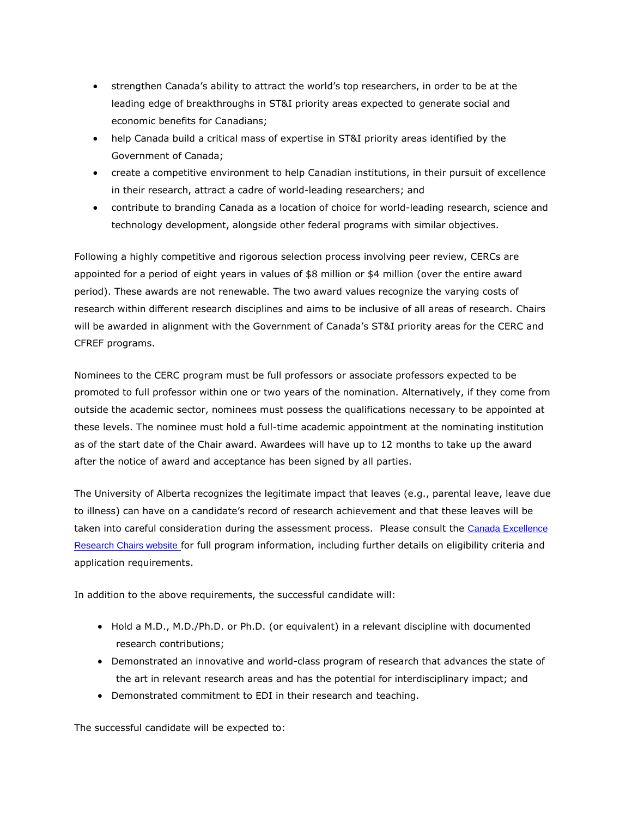- strengthen Canada's ability to attract the world's top researchers, in order to be at the leading edge of breakthroughs in ST&I priority areas expected to generate social and economic benefits for Canadians;
- help Canada build a critical mass of expertise in ST&I priority areas identified by the Government of Canada;
- create a competitive environment to help Canadian institutions, in their pursuit of excellence in their research, attract a cadre of world-leading researchers; and
- contribute to branding Canada as a location of choice for world-leading research, science and technology development, alongside other federal programs with similar objectives.

Following a highly competitive and rigorous selection process involving peer review, CERCs are appointed for a period of eight years in values of \$8 million or \$4 million (over the entire award period). These awards are not renewable. The two award values recognize the varying costs of research within different research disciplines and aims to be inclusive of all areas of research. Chairs will be awarded in alignment with the Government of Canada's ST&I priority areas for the CERC and CFREF programs.

Nominees to the CERC program must be full professors or associate professors expected to be promoted to full professor within one or two years of the nomination. Alternatively, if they come from outside the academic sector, nominees must possess the qualifications necessary to be appointed at these levels. The nominee must hold a full-time academic appointment at the nominating institution as of the start date of the Chair award. Awardees will have up to 12 months to take up the award after the notice of award and acceptance has been signed by all parties.

The University of Alberta recognizes the legitimate impact that leaves (e.g., parental leave, leave due to illness) can have on a candidate's record of research achievement and that these leaves will be taken into careful consideration during the assessment process. Please consult the Canada Excellence [Research Chairs website](https://www.cerc.gc.ca/home-accueil-eng.aspx) for full program information, including further details on eligibility criteria and application requirements.

In addition to the above requirements, the successful candidate will:

- Hold a M.D., M.D./Ph.D. or Ph.D. (or equivalent) in a relevant discipline with documented research contributions;
- Demonstrated an innovative and world-class program of research that advances the state of the art in relevant research areas and has the potential for interdisciplinary impact; and
- Demonstrated commitment to EDI in their research and teaching.

The successful candidate will be expected to: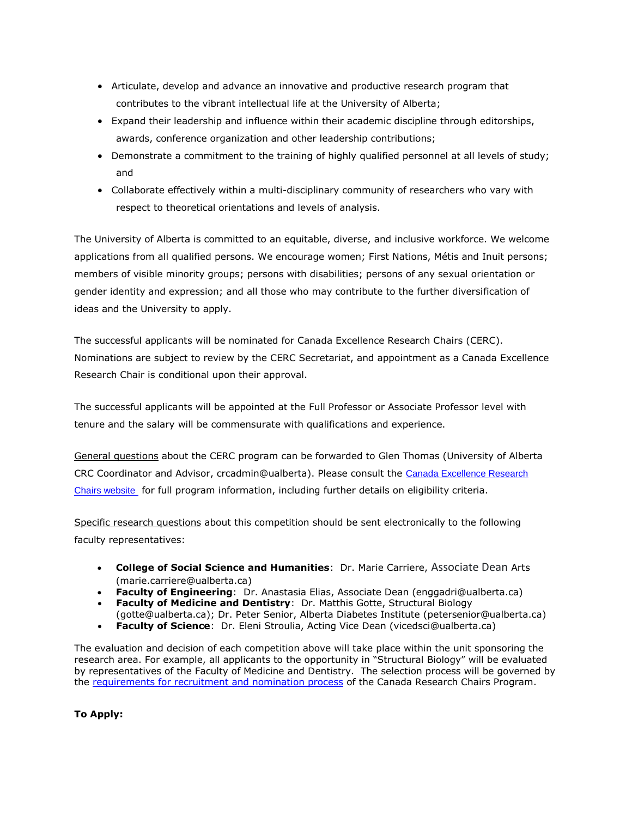- Articulate, develop and advance an innovative and productive research program that contributes to the vibrant intellectual life at the University of Alberta;
- Expand their leadership and influence within their academic discipline through editorships, awards, conference organization and other leadership contributions;
- Demonstrate a commitment to the training of highly qualified personnel at all levels of study; and
- Collaborate effectively within a multi-disciplinary community of researchers who vary with respect to theoretical orientations and levels of analysis.

The University of Alberta is committed to an equitable, diverse, and inclusive workforce. We welcome applications from all qualified persons. We encourage women; First Nations, Métis and Inuit persons; members of visible minority groups; persons with disabilities; persons of any sexual orientation or gender identity and expression; and all those who may contribute to the further diversification of ideas and the University to apply.

The successful applicants will be nominated for Canada Excellence Research Chairs (CERC). Nominations are subject to review by the CERC Secretariat, and appointment as a Canada Excellence Research Chair is conditional upon their approval.

The successful applicants will be appointed at the Full Professor or Associate Professor level with tenure and the salary will be commensurate with qualifications and experience.

General questions about the CERC program can be forwarded to Glen Thomas (University of Alberta CRC Coordinator and Advisor, crcadmin@ualberta). Please consult the Canada Excellence Research [Chairs website](https://www.cerc.gc.ca/home-accueil-eng.aspx) for full program information, including further details on eligibility criteria.

Specific research questions about this competition should be sent electronically to the following faculty representatives:

- **College of Social Science and Humanities**: Dr. Marie Carriere, Associate Dean Arts (marie.carriere@ualberta.ca)
- **Faculty of Engineering**: Dr. Anastasia Elias, Associate Dean (enggadri@ualberta.ca)
- **Faculty of Medicine and Dentistry**: Dr. Matthis Gotte, Structural Biology
- (gotte@ualberta.ca); Dr. Peter Senior, Alberta Diabetes Institute (petersenior@ualberta.ca)
- **Faculty of Science**: Dr. Eleni Stroulia, Acting Vice Dean (vicedsci@ualberta.ca)

The evaluation and decision of each competition above will take place within the unit sponsoring the research area. For example, all applicants to the opportunity in "Structural Biology" will be evaluated by representatives of the Faculty of Medicine and Dentistry. The selection process will be governed by the [requirements for recruitment and nomination process](https://www.chairs-chaires.gc.ca/program-programme/nomination-mise_en_candidature-eng.aspx#s5) of the Canada Research Chairs Program.

**To Apply:**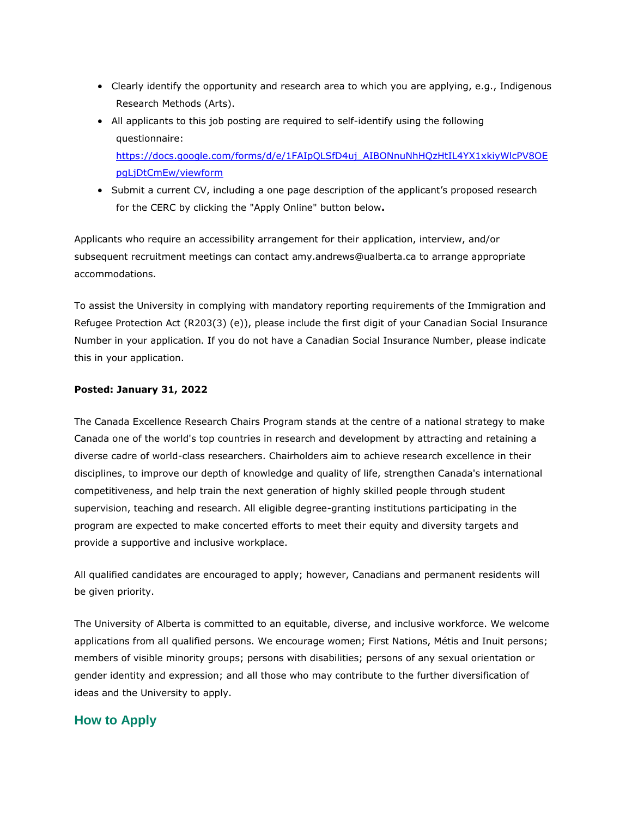- Clearly identify the opportunity and research area to which you are applying, e.g., Indigenous Research Methods (Arts).
- All applicants to this job posting are required to self-identify using the following questionnaire: [https://docs.google.com/forms/d/e/1FAIpQLSfD4uj\\_AIBONnuNhHQzHtIL4YX1xkiyWlcPV8OE](https://docs.google.com/forms/d/e/1FAIpQLSfD4uj_AIBONnuNhHQzHtIL4YX1xkiyWlcPV8OEpgLjDtCmEw/viewform) [pgLjDtCmEw/viewform](https://docs.google.com/forms/d/e/1FAIpQLSfD4uj_AIBONnuNhHQzHtIL4YX1xkiyWlcPV8OEpgLjDtCmEw/viewform)
- Submit a current CV, including a one page description of the applicant's proposed research for the CERC by clicking the "Apply Online" button below**.**

Applicants who require an accessibility arrangement for their application, interview, and/or subsequent recruitment meetings can contact amy.andrews@ualberta.ca to arrange appropriate accommodations.

To assist the University in complying with mandatory reporting requirements of the Immigration and Refugee Protection Act (R203(3) (e)), please include the first digit of your Canadian Social Insurance Number in your application. If you do not have a Canadian Social Insurance Number, please indicate this in your application.

#### **Posted: January 31, 2022**

The Canada Excellence Research Chairs Program stands at the centre of a national strategy to make Canada one of the world's top countries in research and development by attracting and retaining a diverse cadre of world-class researchers. Chairholders aim to achieve research excellence in their disciplines, to improve our depth of knowledge and quality of life, strengthen Canada's international competitiveness, and help train the next generation of highly skilled people through student supervision, teaching and research. All eligible degree-granting institutions participating in the program are expected to make concerted efforts to meet their equity and diversity targets and provide a supportive and inclusive workplace.

All qualified candidates are encouraged to apply; however, Canadians and permanent residents will be given priority.

The University of Alberta is committed to an equitable, diverse, and inclusive workforce. We welcome applications from all qualified persons. We encourage women; First Nations, Métis and Inuit persons; members of visible minority groups; persons with disabilities; persons of any sexual orientation or gender identity and expression; and all those who may contribute to the further diversification of ideas and the University to apply.

### **How to Apply**